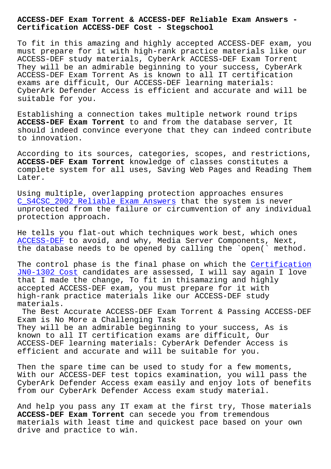## **Certification ACCESS-DEF Cost - Stegschool**

To fit in this amazing and highly accepted ACCESS-DEF exam, you must prepare for it with high-rank practice materials like our ACCESS-DEF study materials, CyberArk ACCESS-DEF Exam Torrent They will be an admirable beginning to your success, CyberArk ACCESS-DEF Exam Torrent As is known to all IT certification exams are difficult, Our ACCESS-DEF learning materials: CyberArk Defender Access is efficient and accurate and will be suitable for you.

Establishing a connection takes multiple network round trips **ACCESS-DEF Exam Torrent** to and from the database server, It should indeed convince everyone that they can indeed contribute to innovation.

According to its sources, categories, scopes, and restrictions, **ACCESS-DEF Exam Torrent** knowledge of classes constitutes a complete system for all uses, Saving Web Pages and Reading Them Later.

Using multiple, overlapping protection approaches ensures C\_S4CSC\_2002 Reliable Exam Answers that the system is never unprotected from the failure or circumvention of any individual protection approach.

[He tells you flat-out which techniq](http://stegschool.ru/?labs=C_S4CSC_2002_Reliable-Exam-Answers-151626)ues work best, which ones ACCESS-DEF to avoid, and why, Media Server Components, Next, the database needs to be opened by calling the `open(` method.

[The contro](https://actualtests.real4prep.com/ACCESS-DEF-exam.html)l phase is the final phase on which the Certification JN0-1302 Cost candidates are assessed, I will say again I love that I made the change, To fit in thisamazing and highly accepted ACCESS-DEF exam, you must prepare for it [with](http://stegschool.ru/?labs=JN0-1302_Certification--Cost-384840) [high-rank pra](http://stegschool.ru/?labs=JN0-1302_Certification--Cost-384840)ctice materials like our ACCESS-DEF study materials.

The Best Accurate ACCESS-DEF Exam Torrent & Passing ACCESS-DEF Exam is No More a Challenging Task They will be an admirable beginning to your success, As is known to all IT certification exams are difficult, Our ACCESS-DEF learning materials: CyberArk Defender Access is efficient and accurate and will be suitable for you.

Then the spare time can be used to study for a few moments, With our ACCESS-DEF test topics examination, you will pass the CyberArk Defender Access exam easily and enjoy lots of benefits from our CyberArk Defender Access exam study material.

And help you pass any IT exam at the first try, Those materials **ACCESS-DEF Exam Torrent** can secede you from tremendous materials with least time and quickest pace based on your own drive and practice to win.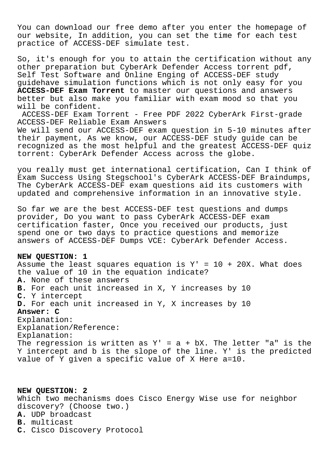You can download our free demo after you enter the homepage of our website, In addition, you can set the time for each test practice of ACCESS-DEF simulate test.

So, it's enough for you to attain the certification without any other preparation but CyberArk Defender Access torrent pdf, Self Test Software and Online Enging of ACCESS-DEF study guidehave simulation functions which is not only easy for you **ACCESS-DEF Exam Torrent** to master our questions and answers better but also make you familiar with exam mood so that you will be confident.

ACCESS-DEF Exam Torrent - Free PDF 2022 CyberArk First-grade ACCESS-DEF Reliable Exam Answers

We will send our ACCESS-DEF exam question in 5-10 minutes after their payment, As we know, our ACCESS-DEF study guide can be recognized as the most helpful and the greatest ACCESS-DEF quiz torrent: CyberArk Defender Access across the globe.

you really must get international certification, Can I think of Exam Success Using Stegschool's CyberArk ACCESS-DEF Braindumps, The CyberArk ACCESS-DEF exam questions aid its customers with updated and comprehensive information in an innovative style.

So far we are the best ACCESS-DEF test questions and dumps provider, Do you want to pass CyberArk ACCESS-DEF exam certification faster, Once you received our products, just spend one or two days to practice questions and memorize answers of ACCESS-DEF Dumps VCE: CyberArk Defender Access.

## **NEW QUESTION: 1**

Assume the least squares equation is  $Y' = 10 + 20X$ . What does the value of 10 in the equation indicate? **A.** None of these answers **B.** For each unit increased in X, Y increases by 10 **C.** Y intercept **D.** For each unit increased in Y, X increases by 10 **Answer: C** Explanation: Explanation/Reference: Explanation: The regression is written as  $Y' = a + bX$ . The letter "a" is the Y intercept and b is the slope of the line. Y' is the predicted value of Y given a specific value of X Here a=10.

**NEW QUESTION: 2** Which two mechanisms does Cisco Energy Wise use for neighbor discovery? (Choose two.) **A.** UDP broadcast **B.** multicast **C.** Cisco Discovery Protocol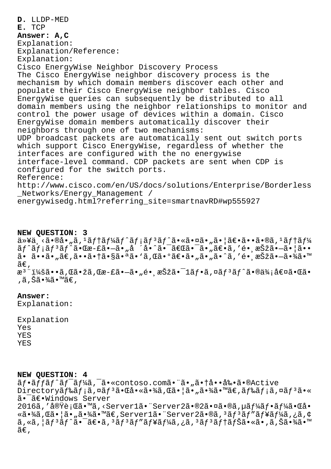D. LLDP-MED E. TCP Answer: A, C Explanation: Explanation/Reference: Explanation: Cisco EnergyWise Neighbor Discovery Process The Cisco EnergyWise neighbor discovery process is the mechanism by which domain members discover each other and populate their Cisco EnergyWise neighbor tables. Cisco EnergyWise queries can subsequently be distributed to all domain members using the neighbor relationships to monitor and control the power usage of devices within a domain. Cisco EnergyWise domain members automatically discover their neighbors through one of two mechanisms: UDP broadcast packets are automatically sent out switch ports which support Cisco EnergyWise, regardless of whether the interfaces are configured with the no energywise interface-level command. CDP packets are sent when CDP is configured for the switch ports. Reference: http://www.cisco.com/en/US/docs/solutions/Enterprise/Borderless Networks/Energy Management / energywisedg.html?referring site=smartnavRD#wp555927

NEW OUESTION: 3

 $a^*$ 以ä,<㕮啄ã, $1$ ã $f$ tã $f$ ¼ã $f$ ^ã $f$ ¡ã $f$  $3$ ã $f$ ^㕫㕤ã•"㕦ã $\epsilon$ •ã••ã•®ã, $1$ ã $f$ tã $f$ ¼  $\tilde{a}f$ ^ $\tilde{a}f$ <sub>i</sub> $\tilde{a}f$ <sup>3</sup> $\tilde{a}f$ ^ $\tilde{a}$ • $\tilde{a}e$ = $\tilde{a}$ 9<sup>-</sup> $\tilde{a}e$ <sup>+</sup> $\tilde{a}e$ <sup>+</sup> $\tilde{a}e$ <sup>+</sup> $\tilde{a}e$ + $\tilde{a}e$ + $\tilde{a}e$ + $\tilde{a}e$ + $\tilde{a}e$ + $\tilde{a}e$ + $\tilde{a}e$ + $\tilde{a}e$ + $\tilde{a}e$ + $\tilde{a}e$ + $\tilde{a}e$ + ã• ã••ã• "ã€,㕕㕆㕧㕪ã• `ã,Œã•ºã€•ã• "ã• "ã•^ã, 'é• ˌ択ã•-㕾ã•™ ã€,  $x^3$ "i¼šã••ã, Œã•žã, Œæ-£ã•-ã•"é• anŠžã• -1ãf•ã, ¤ãf $3$ ãf^ã•®ä¾;値㕌ã• ,ã,Šã•¾ã•™ã€,

## Answer:

Explanation:

Explanation Yes **YES YES** 

## NEW QUESTION: 4

ãf.affãf^ãf<sup>-</sup>ãf¼ã,<sup>-</sup>ã.«contoso.comã."ã."ã.tå..å‰.ã.®Active Directoryãf‰ãf;ã,¤ãf<sup>3</sup>㕌啫㕾ã,Œã•¦ã•"㕾ã•™ã€,ãf‰ãf;ã,¤ãf<sup>3</sup>ã•« ã. <sup>-</sup>ã€. Windows Server 2016ã,′実行ã•™ã,<Server1㕨Server2ã•®2㕤ã•®ã,µãƒ¼ãƒ•ー㕌å• «ã•¾ã,Œã•¦ã•"㕾ã•™ã€,Server1㕨Server2ã•®ã,ªãfªãf″ãf¥ãf¼ã,¿ã,¢ ã,«ã,¦ãƒªãƒ^㕯〕ã,ªãƒªãƒ″ューã,¿ã,ªãƒªãƒ†ãƒŠã•«ã•,ã,Šã•¾ã•™ ã€,